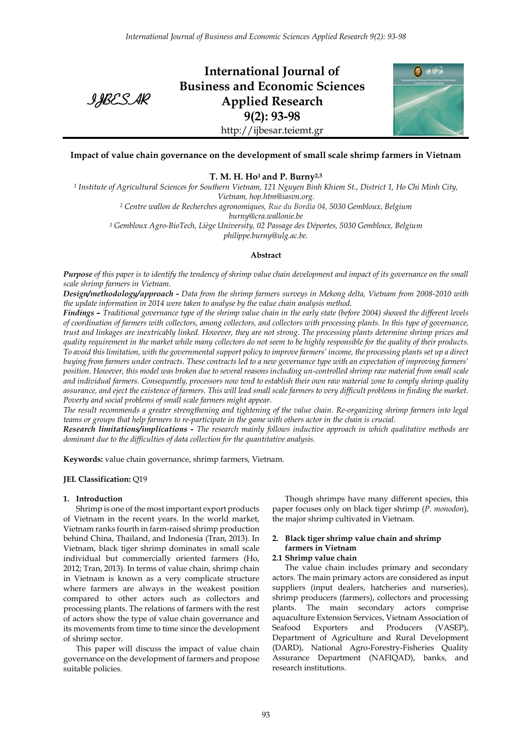IJBESAR

**International Journal of Business and Economic Sciences Applied Research 9(2): 93-98** http://ijbesar.teiemt.gr



# **Impact of value chain governance on the development of small scale shrimp farmers in Vietnam**

**T. M. H. Ho<sup>1</sup> and P. Burny2,3**

*<sup>1</sup> Institute of Agricultural Sciences for Southern Vietnam, 121 Nguyen Binh Khiem St., District 1, Ho Chi Minh City, Vietnam, hop.htm@iasvn.org.*

*<sup>2</sup> Centre wallon de Recherches agronomiques, Rue du Bordia 04, 5030 Gembloux, Belgium*

*burny@cra.wallonie.be*

*<sup>3</sup> Gembloux Agro-BioTech, Liège University, 02 Passage des Déportes, 5030 Gembloux, Belgium philippe.burny@ulg.ac.be.*

### **Abstract**

*Purpose of this paper is to identify the tendency of shrimp value chain development and impact of its governance on the small scale shrimp farmers in Vietnam.*

*Design/methodology/approach - Data from the shrimp farmers surveys in Mekong delta, Vietnam from 2008-2010 with the update information in 2014 were taken to analyse by the value chain analysis method.* 

*Findings – Traditional governance type of the shrimp value chain in the early state (before 2004) showed the different levels of coordination of farmers with collectors, among collectors, and collectors with processing plants. In this type of governance, trust and linkages are inextricably linked. However, they are not strong. The processing plants determine shrimp prices and quality requirement in the market while many collectors do not seem to be highly responsible for the quality of their products. To avoid this limitation, with the governmental support policy to improve farmers' income, the processing plants set up a direct buying from farmers under contracts. These contracts led to a new governance type with an expectation of improving farmers' position. However, this model was broken due to several reasons including un-controlled shrimp raw material from small scale and individual farmers. Consequently, processors now tend to establish their own raw material zone to comply shrimp quality assurance, and eject the existence of farmers. This will lead small scale farmers to very difficult problems in finding the market. Poverty and social problems of small scale farmers might appear.* 

*The result recommends a greater strengthening and tightening of the value chain. Re-organizing shrimp farmers into legal teams or groups that help farmers to re-participate in the game with others actor in the chain is crucial.*

*Research limitations/implications - The research mainly follows inductive approach in which qualitative methods are dominant due to the difficulties of data collection for the quantitative analysis.*

**Keywords:** value chain governance, shrimp farmers, Vietnam.

### **JEL Classification:** Q19

### **1. Introduction**

Shrimp is one of the most important export products of Vietnam in the recent years. In the world market, Vietnam ranks fourth in farm-raised shrimp production behind China, Thailand, and Indonesia (Tran, 2013). In Vietnam, black tiger shrimp dominates in small scale individual but commercially oriented farmers (Ho, 2012; Tran, 2013). In terms of value chain, shrimp chain in Vietnam is known as a very complicate structure where farmers are always in the weakest position compared to other actors such as collectors and processing plants. The relations of farmers with the rest of actors show the type of value chain governance and its movements from time to time since the development of shrimp sector.

This paper will discuss the impact of value chain governance on the development of farmers and propose suitable policies.

Though shrimps have many different species, this paper focuses only on black tiger shrimp (*P*. *monodon*), the major shrimp cultivated in Vietnam.

# **2. Black tiger shrimp value chain and shrimp farmers in Vietnam**

### **2.1 Shrimp value chain**

The value chain includes primary and secondary actors. The main primary actors are considered as input suppliers (input dealers, hatcheries and nurseries), shrimp producers (farmers), collectors and processing plants. The main secondary actors comprise aquaculture Extension Services, Vietnam Association of Seafood Exporters and Producers (VASEP), Department of Agriculture and Rural Development (DARD), National Agro-Forestry-Fisheries Quality Assurance Department (NAFIQAD), banks, and research institutions.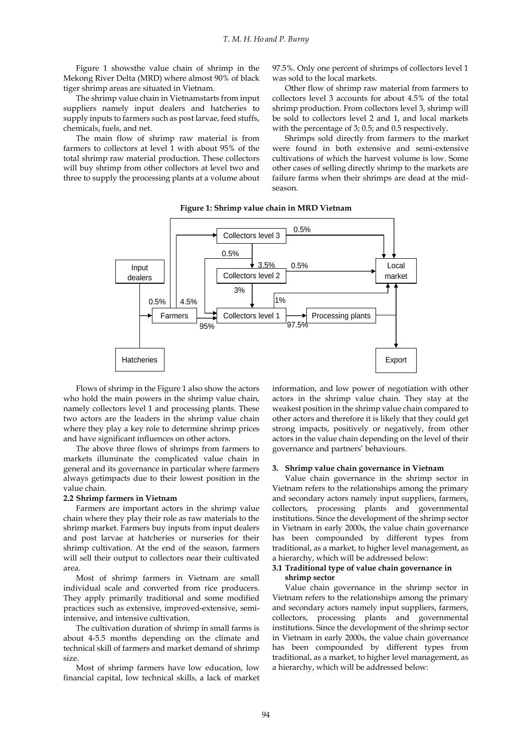Figure 1 showsthe value chain of shrimp in the Mekong River Delta (MRD) where almost 90% of black tiger shrimp areas are situated in Vietnam.

The shrimp value chain in Vietnamstarts from input suppliers namely input dealers and hatcheries to supply inputs to farmers such as post larvae, feed stuffs, chemicals, fuels, and net.

The main flow of shrimp raw material is from farmers to collectors at level 1 with about 95% of the total shrimp raw material production. These collectors will buy shrimp from other collectors at level two and three to supply the processing plants at a volume about 97.5%. Only one percent of shrimps of collectors level 1 was sold to the local markets.

Other flow of shrimp raw material from farmers to collectors level 3 accounts for about 4.5% of the total shrimp production. From collectors level 3, shrimp will be sold to collectors level 2 and 1, and local markets with the percentage of 3; 0.5; and 0.5 respectively.

Shrimps sold directly from farmers to the market were found in both extensive and semi-extensive cultivations of which the harvest volume is low. Some other cases of selling directly shrimp to the markets are failure farms when their shrimps are dead at the midseason.



**Figure 1: Shrimp value chain in MRD Vietnam**

Flows of shrimp in the Figure 1 also show the actors who hold the main powers in the shrimp value chain, namely collectors level 1 and processing plants. These two actors are the leaders in the shrimp value chain where they play a key role to determine shrimp prices and have significant influences on other actors.

The above three flows of shrimps from farmers to markets illuminate the complicated value chain in general and its governance in particular where farmers always getimpacts due to their lowest position in the value chain.

#### **2.2 Shrimp farmers in Vietnam**

Farmers are important actors in the shrimp value chain where they play their role as raw materials to the shrimp market. Farmers buy inputs from input dealers and post larvae at hatcheries or nurseries for their shrimp cultivation. At the end of the season, farmers will sell their output to collectors near their cultivated area.

Most of shrimp farmers in Vietnam are small individual scale and converted from rice producers. They apply primarily traditional and some modified practices such as extensive, improved-extensive, semiintensive, and intensive cultivation.

The cultivation duration of shrimp in small farms is about 4-5.5 months depending on the climate and technical skill of farmers and market demand of shrimp size.

Most of shrimp farmers have low education, low financial capital, low technical skills, a lack of market information, and low power of negotiation with other actors in the shrimp value chain. They stay at the weakest position in the shrimp value chain compared to other actors and therefore it is likely that they could get strong impacts, positively or negatively, from other actors in the value chain depending on the level of their governance and partners' behaviours.

### **3. Shrimp value chain governance in Vietnam**

Value chain governance in the shrimp sector in Vietnam refers to the relationships among the primary and secondary actors namely input suppliers, farmers, collectors, processing plants and governmental institutions. Since the development of the shrimp sector in Vietnam in early 2000s, the value chain governance has been compounded by different types from traditional, as a market, to higher level management, as a hierarchy, which will be addressed below:

### **3.1 Traditional type of value chain governance in shrimp sector**

Value chain governance in the shrimp sector in Vietnam refers to the relationships among the primary and secondary actors namely input suppliers, farmers, collectors, processing plants and governmental institutions. Since the development of the shrimp sector in Vietnam in early 2000s, the value chain governance has been compounded by different types from traditional, as a market, to higher level management, as a hierarchy, which will be addressed below: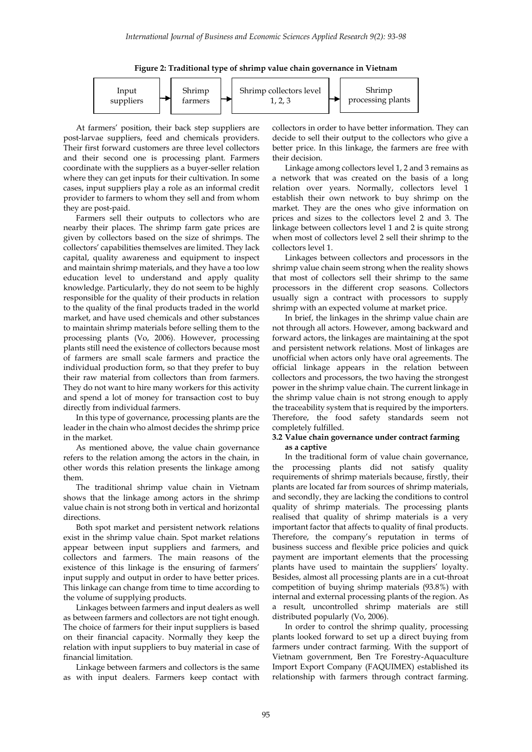



At farmers' position, their back step suppliers are post-larvae suppliers, feed and chemicals providers. Their first forward customers are three level collectors and their second one is processing plant. Farmers coordinate with the suppliers as a buyer-seller relation where they can get inputs for their cultivation. In some cases, input suppliers play a role as an informal credit provider to farmers to whom they sell and from whom they are post-paid.

Farmers sell their outputs to collectors who are nearby their places. The shrimp farm gate prices are given by collectors based on the size of shrimps. The collectors' capabilities themselves are limited. They lack capital, quality awareness and equipment to inspect and maintain shrimp materials, and they have a too low education level to understand and apply quality knowledge. Particularly, they do not seem to be highly responsible for the quality of their products in relation to the quality of the final products traded in the world market, and have used chemicals and other substances to maintain shrimp materials before selling them to the processing plants (Vo, 2006). However, processing plants still need the existence of collectors because most of farmers are small scale farmers and practice the individual production form, so that they prefer to buy their raw material from collectors than from farmers. They do not want to hire many workers for this activity and spend a lot of money for transaction cost to buy directly from individual farmers.

In this type of governance, processing plants are the leader in the chain who almost decides the shrimp price in the market.

As mentioned above, the value chain governance refers to the relation among the actors in the chain, in other words this relation presents the linkage among them.

The traditional shrimp value chain in Vietnam shows that the linkage among actors in the shrimp value chain is not strong both in vertical and horizontal directions.

Both spot market and persistent network relations exist in the shrimp value chain. Spot market relations appear between input suppliers and farmers, and collectors and farmers. The main reasons of the existence of this linkage is the ensuring of farmers' input supply and output in order to have better prices. This linkage can change from time to time according to the volume of supplying products.

Linkages between farmers and input dealers as well as between farmers and collectors are not tight enough. The choice of farmers for their input suppliers is based on their financial capacity. Normally they keep the relation with input suppliers to buy material in case of financial limitation.

Linkage between farmers and collectors is the same as with input dealers. Farmers keep contact with collectors in order to have better information. They can decide to sell their output to the collectors who give a better price. In this linkage, the farmers are free with their decision.

Linkage among collectors level 1, 2 and 3 remains as a network that was created on the basis of a long relation over years. Normally, collectors level 1 establish their own network to buy shrimp on the market. They are the ones who give information on prices and sizes to the collectors level 2 and 3. The linkage between collectors level 1 and 2 is quite strong when most of collectors level 2 sell their shrimp to the collectors level 1.

Linkages between collectors and processors in the shrimp value chain seem strong when the reality shows that most of collectors sell their shrimp to the same processors in the different crop seasons. Collectors usually sign a contract with processors to supply shrimp with an expected volume at market price.

In brief, the linkages in the shrimp value chain are not through all actors. However, among backward and forward actors, the linkages are maintaining at the spot and persistent network relations. Most of linkages are unofficial when actors only have oral agreements. The official linkage appears in the relation between collectors and processors, the two having the strongest power in the shrimp value chain. The current linkage in the shrimp value chain is not strong enough to apply the traceability system that is required by the importers. Therefore, the food safety standards seem not completely fulfilled.

## **3.2 Value chain governance under contract farming as a captive**

In the traditional form of value chain governance, the processing plants did not satisfy quality requirements of shrimp materials because, firstly, their plants are located far from sources of shrimp materials, and secondly, they are lacking the conditions to control quality of shrimp materials. The processing plants realised that quality of shrimp materials is a very important factor that affects to quality of final products. Therefore, the company's reputation in terms of business success and flexible price policies and quick payment are important elements that the processing plants have used to maintain the suppliers' loyalty. Besides, almost all processing plants are in a cut-throat competition of buying shrimp materials (93.8%) with internal and external processing plants of the region. As a result, uncontrolled shrimp materials are still distributed popularly (Vo, 2006).

In order to control the shrimp quality, processing plants looked forward to set up a direct buying from farmers under contract farming. With the support of Vietnam government, Ben Tre Forestry-Aquaculture Import Export Company (FAQUIMEX) established its relationship with farmers through contract farming.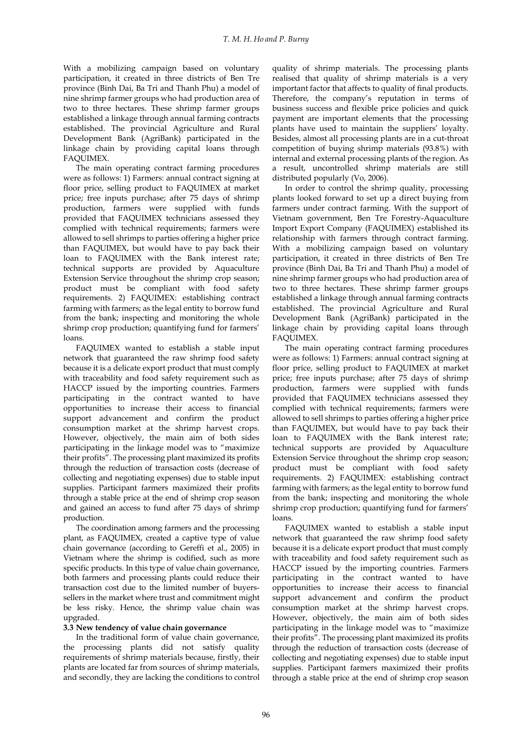With a mobilizing campaign based on voluntary participation, it created in three districts of Ben Tre province (Binh Dai, Ba Tri and Thanh Phu) a model of nine shrimp farmer groups who had production area of two to three hectares. These shrimp farmer groups established a linkage through annual farming contracts established. The provincial Agriculture and Rural Development Bank (AgriBank) participated in the linkage chain by providing capital loans through FAQUIMEX.

The main operating contract farming procedures were as follows: 1) Farmers: annual contract signing at floor price, selling product to FAQUIMEX at market price; free inputs purchase; after 75 days of shrimp production, farmers were supplied with funds provided that FAQUIMEX technicians assessed they complied with technical requirements; farmers were allowed to sell shrimps to parties offering a higher price than FAQUIMEX, but would have to pay back their loan to FAQUIMEX with the Bank interest rate; technical supports are provided by Aquaculture Extension Service throughout the shrimp crop season; product must be compliant with food safety requirements. 2) FAQUIMEX: establishing contract farming with farmers; as the legal entity to borrow fund from the bank; inspecting and monitoring the whole shrimp crop production; quantifying fund for farmers' loans.

FAQUIMEX wanted to establish a stable input network that guaranteed the raw shrimp food safety because it is a delicate export product that must comply with traceability and food safety requirement such as HACCP issued by the importing countries. Farmers participating in the contract wanted to have opportunities to increase their access to financial support advancement and confirm the product consumption market at the shrimp harvest crops. However, objectively, the main aim of both sides participating in the linkage model was to "maximize their profits". The processing plant maximized its profits through the reduction of transaction costs (decrease of collecting and negotiating expenses) due to stable input supplies. Participant farmers maximized their profits through a stable price at the end of shrimp crop season and gained an access to fund after 75 days of shrimp production.

The coordination among farmers and the processing plant, as FAQUIMEX, created a captive type of value chain governance (according to Gereffi et al., 2005) in Vietnam where the shrimp is codified, such as more specific products. In this type of value chain governance, both farmers and processing plants could reduce their transaction cost due to the limited number of buyerssellers in the market where trust and commitment might be less risky. Hence, the shrimp value chain was upgraded.

### **3.3 New tendency of value chain governance**

In the traditional form of value chain governance, the processing plants did not satisfy quality requirements of shrimp materials because, firstly, their plants are located far from sources of shrimp materials, and secondly, they are lacking the conditions to control quality of shrimp materials. The processing plants realised that quality of shrimp materials is a very important factor that affects to quality of final products. Therefore, the company's reputation in terms of business success and flexible price policies and quick payment are important elements that the processing plants have used to maintain the suppliers' loyalty. Besides, almost all processing plants are in a cut-throat competition of buying shrimp materials (93.8%) with internal and external processing plants of the region. As a result, uncontrolled shrimp materials are still distributed popularly (Vo, 2006).

In order to control the shrimp quality, processing plants looked forward to set up a direct buying from farmers under contract farming. With the support of Vietnam government, Ben Tre Forestry-Aquaculture Import Export Company (FAQUIMEX) established its relationship with farmers through contract farming. With a mobilizing campaign based on voluntary participation, it created in three districts of Ben Tre province (Binh Dai, Ba Tri and Thanh Phu) a model of nine shrimp farmer groups who had production area of two to three hectares. These shrimp farmer groups established a linkage through annual farming contracts established. The provincial Agriculture and Rural Development Bank (AgriBank) participated in the linkage chain by providing capital loans through FAQUIMEX.

The main operating contract farming procedures were as follows: 1) Farmers: annual contract signing at floor price, selling product to FAQUIMEX at market price; free inputs purchase; after 75 days of shrimp production, farmers were supplied with funds provided that FAQUIMEX technicians assessed they complied with technical requirements; farmers were allowed to sell shrimps to parties offering a higher price than FAQUIMEX, but would have to pay back their loan to FAQUIMEX with the Bank interest rate; technical supports are provided by Aquaculture Extension Service throughout the shrimp crop season; product must be compliant with food safety requirements. 2) FAQUIMEX: establishing contract farming with farmers; as the legal entity to borrow fund from the bank; inspecting and monitoring the whole shrimp crop production; quantifying fund for farmers' loans.

FAQUIMEX wanted to establish a stable input network that guaranteed the raw shrimp food safety because it is a delicate export product that must comply with traceability and food safety requirement such as HACCP issued by the importing countries. Farmers participating in the contract wanted to have opportunities to increase their access to financial support advancement and confirm the product consumption market at the shrimp harvest crops. However, objectively, the main aim of both sides participating in the linkage model was to "maximize their profits". The processing plant maximized its profits through the reduction of transaction costs (decrease of collecting and negotiating expenses) due to stable input supplies. Participant farmers maximized their profits through a stable price at the end of shrimp crop season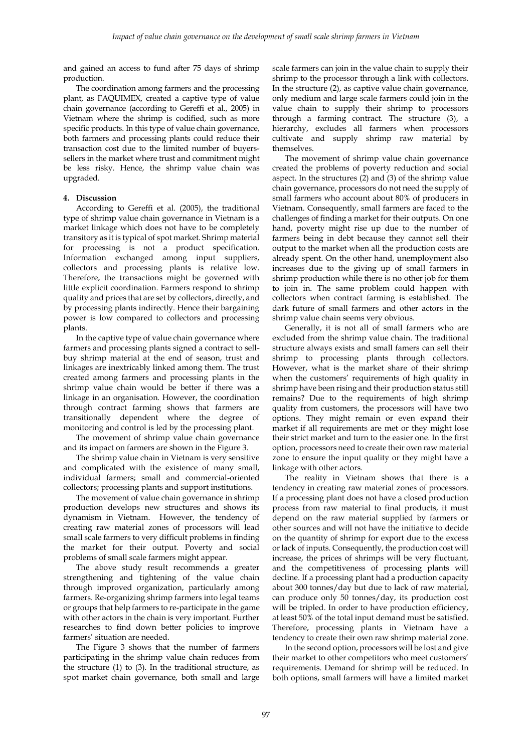and gained an access to fund after 75 days of shrimp production.

The coordination among farmers and the processing plant, as FAQUIMEX, created a captive type of value chain governance (according to Gereffi et al., 2005) in Vietnam where the shrimp is codified, such as more specific products. In this type of value chain governance, both farmers and processing plants could reduce their transaction cost due to the limited number of buyerssellers in the market where trust and commitment might be less risky. Hence, the shrimp value chain was upgraded.

### **4. Discussion**

According to Gereffi et al. (2005), the traditional type of shrimp value chain governance in Vietnam is a market linkage which does not have to be completely transitory as it is typical of spot market. Shrimp material for processing is not a product specification. Information exchanged among input suppliers, collectors and processing plants is relative low. Therefore, the transactions might be governed with little explicit coordination. Farmers respond to shrimp quality and prices that are set by collectors, directly, and by processing plants indirectly. Hence their bargaining power is low compared to collectors and processing plants.

In the captive type of value chain governance where farmers and processing plants signed a contract to sellbuy shrimp material at the end of season, trust and linkages are inextricably linked among them. The trust created among farmers and processing plants in the shrimp value chain would be better if there was a linkage in an organisation. However, the coordination through contract farming shows that farmers are transitionally dependent where the degree of monitoring and control is led by the processing plant.

The movement of shrimp value chain governance and its impact on farmers are shown in the Figure 3.

The shrimp value chain in Vietnam is very sensitive and complicated with the existence of many small, individual farmers; small and commercial-oriented collectors; processing plants and support institutions.

The movement of value chain governance in shrimp production develops new structures and shows its dynamism in Vietnam. However, the tendency of creating raw material zones of processors will lead small scale farmers to very difficult problems in finding the market for their output. Poverty and social problems of small scale farmers might appear.

The above study result recommends a greater strengthening and tightening of the value chain through improved organization, particularly among farmers. Re-organizing shrimp farmers into legal teams or groups that help farmers to re-participate in the game with other actors in the chain is very important. Further researches to find down better policies to improve farmers' situation are needed.

The Figure 3 shows that the number of farmers participating in the shrimp value chain reduces from the structure (1) to (3). In the traditional structure, as spot market chain governance, both small and large scale farmers can join in the value chain to supply their shrimp to the processor through a link with collectors. In the structure (2), as captive value chain governance, only medium and large scale farmers could join in the value chain to supply their shrimp to processors through a farming contract. The structure (3), a hierarchy, excludes all farmers when processors cultivate and supply shrimp raw material by themselves.

The movement of shrimp value chain governance created the problems of poverty reduction and social aspect. In the structures (2) and (3) of the shrimp value chain governance, processors do not need the supply of small farmers who account about 80% of producers in Vietnam. Consequently, small farmers are faced to the challenges of finding a market for their outputs. On one hand, poverty might rise up due to the number of farmers being in debt because they cannot sell their output to the market when all the production costs are already spent. On the other hand, unemployment also increases due to the giving up of small farmers in shrimp production while there is no other job for them to join in. The same problem could happen with collectors when contract farming is established. The dark future of small farmers and other actors in the shrimp value chain seems very obvious.

Generally, it is not all of small farmers who are excluded from the shrimp value chain. The traditional structure always exists and small famers can sell their shrimp to processing plants through collectors. However, what is the market share of their shrimp when the customers' requirements of high quality in shrimp have been rising and their production status still remains? Due to the requirements of high shrimp quality from customers, the processors will have two options. They might remain or even expand their market if all requirements are met or they might lose their strict market and turn to the easier one. In the first option, processors need to create their own raw material zone to ensure the input quality or they might have a linkage with other actors.

The reality in Vietnam shows that there is a tendency in creating raw material zones of processors. If a processing plant does not have a closed production process from raw material to final products, it must depend on the raw material supplied by farmers or other sources and will not have the initiative to decide on the quantity of shrimp for export due to the excess or lack of inputs. Consequently, the production cost will increase, the prices of shrimps will be very fluctuant, and the competitiveness of processing plants will decline. If a processing plant had a production capacity about 300 tonnes/day but due to lack of raw material, can produce only 50 tonnes/day, its production cost will be tripled. In order to have production efficiency, at least 50% of the total input demand must be satisfied. Therefore, processing plants in Vietnam have a tendency to create their own raw shrimp material zone.

In the second option, processors will be lost and give their market to other competitors who meet customers' requirements. Demand for shrimp will be reduced. In both options, small farmers will have a limited market